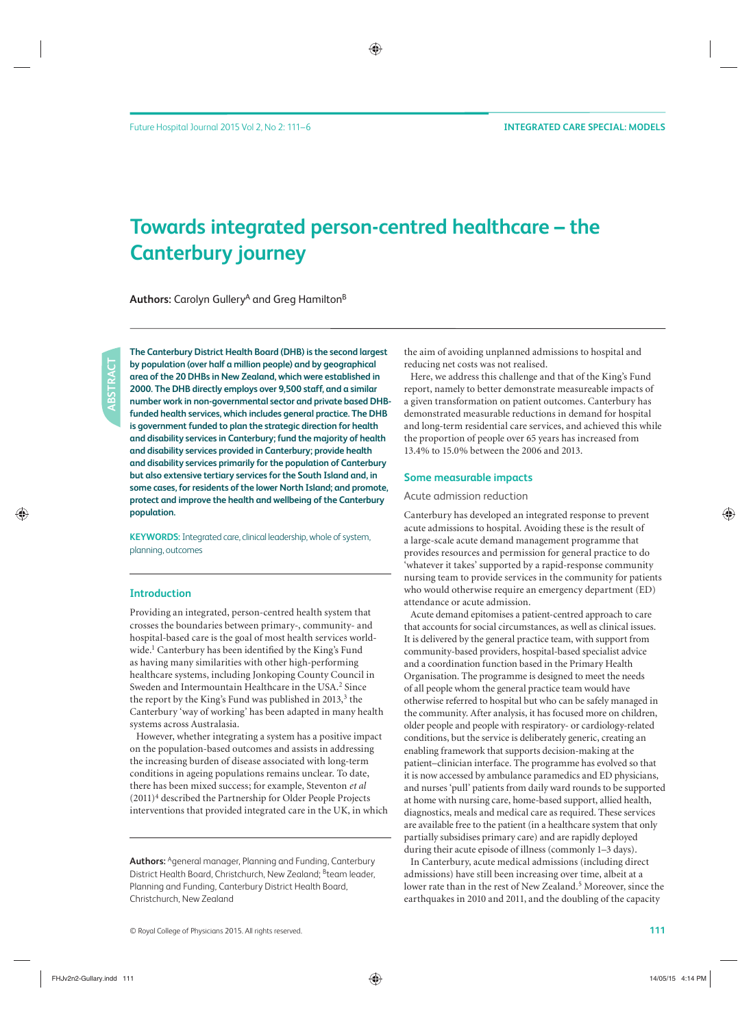# **Towards integrated person-centred healthcare – the Canterbury journey**

Authors: Carolyn Gullery<sup>A</sup> and Greg Hamilton<sup>B</sup>

**The Canterbury District Health Board (DHB) is the second largest by population (over half a million people) and by geographical area of the 20 DHBs in New Zealand, which were established in 2000. The DHB directly employs over 9,500 staff, and a similar number work in non-governmental sector and private based DHBfunded health services, which includes general practice. The DHB is government funded to plan the strategic direction for health and disability services in Canterbury; fund the majority of health and disability services provided in Canterbury; provide health and disability services primarily for the population of Canterbury but also extensive tertiary services for the South Island and, in some cases, for residents of the lower North Island; and promote, protect and improve the health and wellbeing of the Canterbury population.**

**KEYWORDS:** Integrated care, clinical leadership, whole of system, planning, outcomes

#### **Introduction**

Providing an integrated, person-centred health system that crosses the boundaries between primary-, community- and hospital-based care is the goal of most health services worldwide.<sup>1</sup> Canterbury has been identified by the King's Fund as having many similarities with other high-performing healthcare systems, including Jonkoping County Council in Sweden and Intermountain Healthcare in the USA.<sup>2</sup> Since the report by the King's Fund was published in 2013,<sup>3</sup> the Canterbury 'way of working' has been adapted in many health systems across Australasia.

However, whether integrating a system has a positive impact on the population-based outcomes and assists in addressing the increasing burden of disease associated with long-term conditions in ageing populations remains unclear. To date, there has been mixed success; for example, Steventon *et al*  (2011)4 described the Partnership for Older People Projects interventions that provided integrated care in the UK, in which

**Authors:** Ageneral manager, Planning and Funding, Canterbury District Health Board, Christchurch, New Zealand; <sup>B</sup>team leader, Planning and Funding, Canterbury District Health Board, Christchurch, New Zealand

the aim of avoiding unplanned admissions to hospital and reducing net costs was not realised.

Here, we address this challenge and that of the King's Fund report, namely to better demonstrate measureable impacts of a given transformation on patient outcomes. Canterbury has demonstrated measurable reductions in demand for hospital and long-term residential care services, and achieved this while the proportion of people over 65 years has increased from 13.4% to 15.0% between the 2006 and 2013.

#### **Some measurable impacts**

#### Acute admission reduction

Canterbury has developed an integrated response to prevent acute admissions to hospital. Avoiding these is the result of a large-scale acute demand management programme that provides resources and permission for general practice to do 'whatever it takes' supported by a rapid-response community nursing team to provide services in the community for patients who would otherwise require an emergency department (ED) attendance or acute admission.

Acute demand epitomises a patient-centred approach to care that accounts for social circumstances, as well as clinical issues. It is delivered by the general practice team, with support from community-based providers, hospital-based specialist advice and a coordination function based in the Primary Health Organisation. The programme is designed to meet the needs of all people whom the general practice team would have otherwise referred to hospital but who can be safely managed in the community. After analysis, it has focused more on children, older people and people with respiratory- or cardiology-related conditions, but the service is deliberately generic, creating an enabling framework that supports decision-making at the patient–clinician interface. The programme has evolved so that it is now accessed by ambulance paramedics and ED physicians, and nurses 'pull' patients from daily ward rounds to be supported at home with nursing care, home-based support, allied health, diagnostics, meals and medical care as required. These services are available free to the patient (in a healthcare system that only partially subsidises primary care) and are rapidly deployed during their acute episode of illness (commonly 1–3 days).

In Canterbury, acute medical admissions (including direct admissions) have still been increasing over time, albeit at a lower rate than in the rest of New Zealand.<sup>5</sup> Moreover, since the earthquakes in 2010 and 2011, and the doubling of the capacity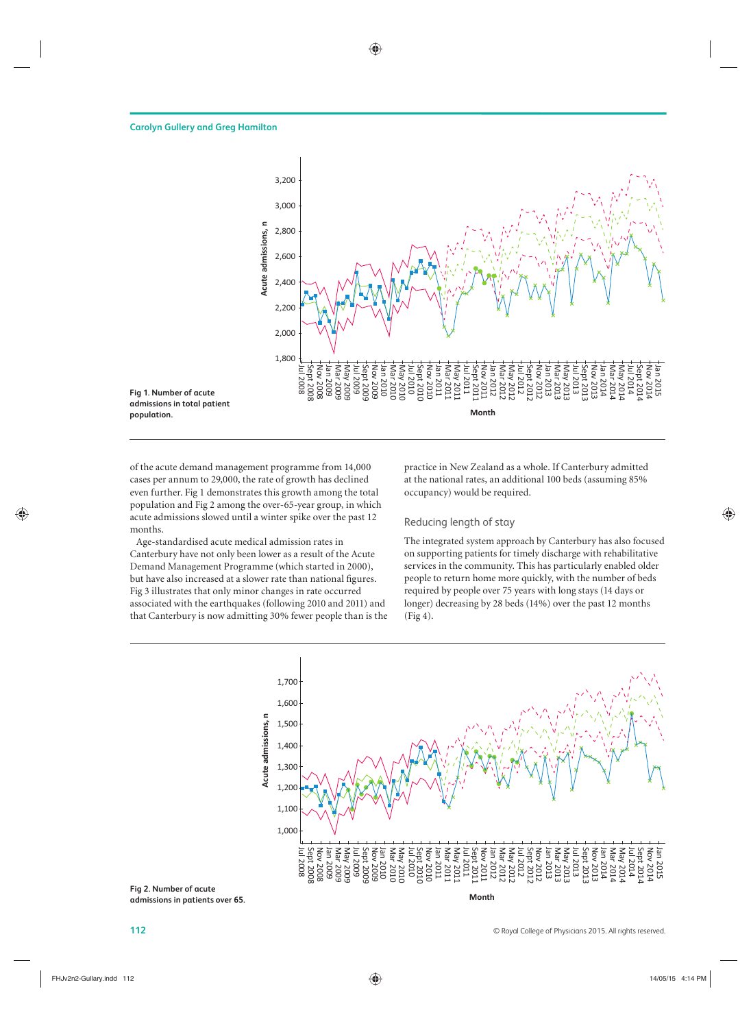

of the acute demand management programme from 14,000 cases per annum to 29,000, the rate of growth has declined even further. Fig 1 demonstrates this growth among the total population and Fig 2 among the over-65-year group, in which acute admissions slowed until a winter spike over the past 12 months.

Age-standardised acute medical admission rates in Canterbury have not only been lower as a result of the Acute Demand Management Programme (which started in 2000), but have also increased at a slower rate than national figures. Fig 3 illustrates that only minor changes in rate occurred associated with the earthquakes (following 2010 and 2011) and that Canterbury is now admitting 30% fewer people than is the practice in New Zealand as a whole. If Canterbury admitted at the national rates, an additional 100 beds (assuming 85% occupancy) would be required.

### Reducing length of stay

The integrated system approach by Canterbury has also focused on supporting patients for timely discharge with rehabilitative services in the community. This has particularly enabled older people to return home more quickly, with the number of beds required by people over 75 years with long stays (14 days or longer) decreasing by 28 beds (14%) over the past 12 months (Fig 4).



**Fig 2. Number of acute admissions in patients over 65.**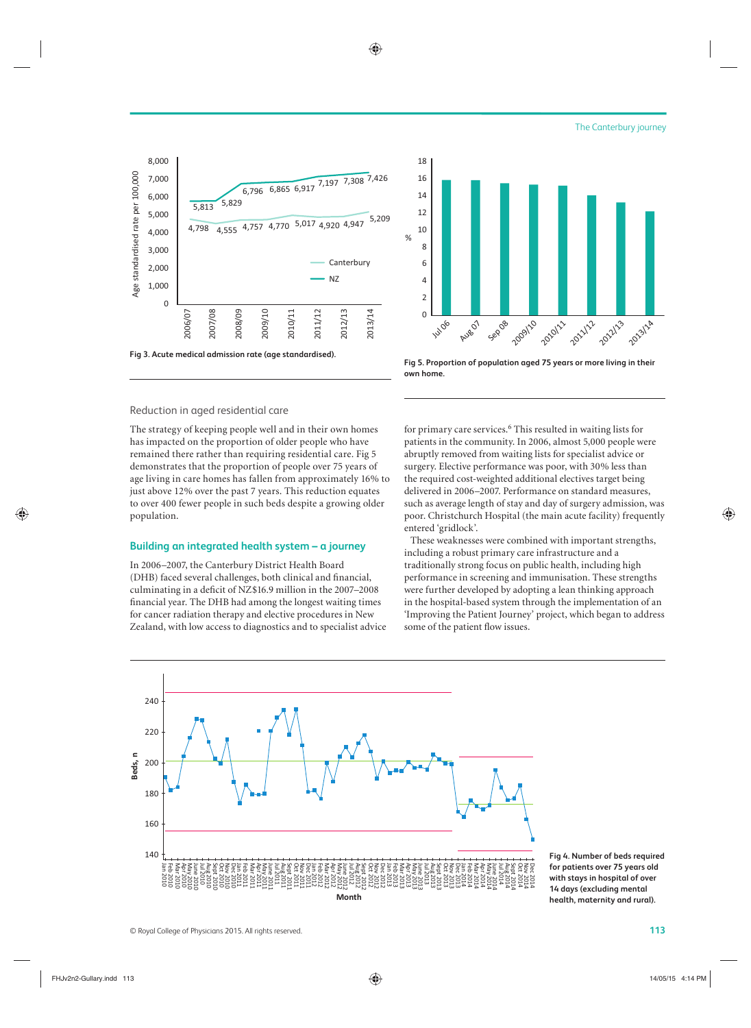



# Reduction in aged residential care

The strategy of keeping people well and in their own homes has impacted on the proportion of older people who have remained there rather than requiring residential care. Fig 5 demonstrates that the proportion of people over 75 years of age living in care homes has fallen from approximately 16% to just above 12% over the past 7 years. This reduction equates to over 400 fewer people in such beds despite a growing older population.

#### **Building an integrated health system – a journey**

In 2006–2007, the Canterbury District Health Board (DHB) faced several challenges, both clinical and financial, culminating in a deficit of NZ\$16.9 million in the 2007–2008 financial year. The DHB had among the longest waiting times for cancer radiation therapy and elective procedures in New Zealand, with low access to diagnostics and to specialist advice



 $\mathcal{O}/\mathcal{O}$ 

**Fig 5. Proportion of population aged 75 years or more living in their own home.**

for primary care services.<sup>6</sup> This resulted in waiting lists for patients in the community. In 2006, almost 5,000 people were abruptly removed from waiting lists for specialist advice or surgery. Elective performance was poor, with 30% less than the required cost-weighted additional electives target being delivered in 2006–2007. Performance on standard measures, such as average length of stay and day of surgery admission, was poor. Christchurch Hospital (the main acute facility) frequently entered 'gridlock'.

These weaknesses were combined with important strengths, including a robust primary care infrastructure and a traditionally strong focus on public health, including high performance in screening and immunisation. These strengths were further developed by adopting a lean thinking approach in the hospital-based system through the implementation of an 'Improving the Patient Journey' project, which began to address some of the patient flow issues.



**Fig 4. Number of beds required for patients over 75 years old with stays in hospital of over 14 days (excluding mental health, maternity and rural).**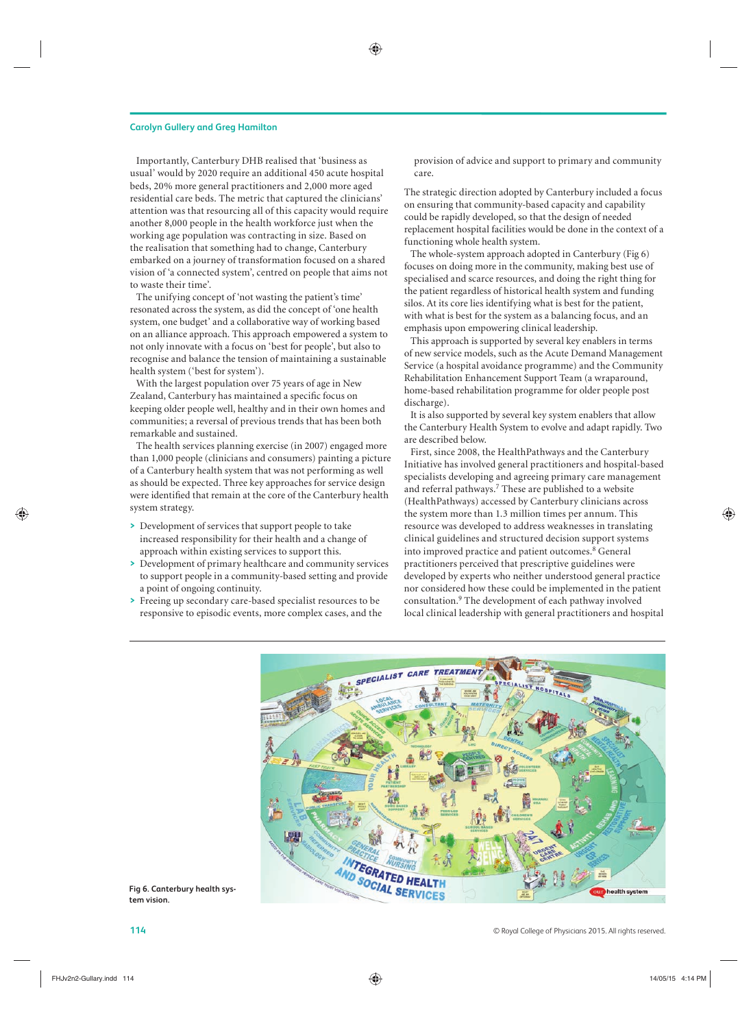#### **Carolyn Gullery and Greg Hamilton**

Importantly, Canterbury DHB realised that 'business as usual' would by 2020 require an additional 450 acute hospital beds, 20% more general practitioners and 2,000 more aged residential care beds. The metric that captured the clinicians' attention was that resourcing all of this capacity would require another 8,000 people in the health workforce just when the working age population was contracting in size. Based on the realisation that something had to change, Canterbury embarked on a journey of transformation focused on a shared vision of 'a connected system', centred on people that aims not to waste their time'.

The unifying concept of 'not wasting the patient's time' resonated across the system, as did the concept of 'one health system, one budget' and a collaborative way of working based on an alliance approach. This approach empowered a system to not only innovate with a focus on 'best for people', but also to recognise and balance the tension of maintaining a sustainable health system ('best for system').

With the largest population over 75 years of age in New Zealand, Canterbury has maintained a specific focus on keeping older people well, healthy and in their own homes and communities; a reversal of previous trends that has been both remarkable and sustained.

The health services planning exercise (in 2007) engaged more than 1,000 people (clinicians and consumers) painting a picture of a Canterbury health system that was not performing as well as should be expected. Three key approaches for service design were identified that remain at the core of the Canterbury health system strategy.

- **>** Development of services that support people to take increased responsibility for their health and a change of approach within existing services to support this.
- **>** Development of primary healthcare and community services to support people in a community-based setting and provide a point of ongoing continuity.
- **>** Freeing up secondary care-based specialist resources to be responsive to episodic events, more complex cases, and the

provision of advice and support to primary and community care.

The strategic direction adopted by Canterbury included a focus on ensuring that community-based capacity and capability could be rapidly developed, so that the design of needed replacement hospital facilities would be done in the context of a functioning whole health system.

The whole-system approach adopted in Canterbury (Fig 6) focuses on doing more in the community, making best use of specialised and scarce resources, and doing the right thing for the patient regardless of historical health system and funding silos. At its core lies identifying what is best for the patient, with what is best for the system as a balancing focus, and an emphasis upon empowering clinical leadership.

This approach is supported by several key enablers in terms of new service models, such as the Acute Demand Management Service (a hospital avoidance programme) and the Community Rehabilitation Enhancement Support Team (a wraparound, home-based rehabilitation programme for older people post discharge).

It is also supported by several key system enablers that allow the Canterbury Health System to evolve and adapt rapidly. Two are described below.

First, since 2008, the HealthPathways and the Canterbury Initiative has involved general practitioners and hospital-based specialists developing and agreeing primary care management and referral pathways.<sup>7</sup> These are published to a website (HealthPathways) accessed by Canterbury clinicians across the system more than 1.3 million times per annum. This resource was developed to address weaknesses in translating clinical guidelines and structured decision support systems into improved practice and patient outcomes.<sup>8</sup> General practitioners perceived that prescriptive guidelines were developed by experts who neither understood general practice nor considered how these could be implemented in the patient consultation.9 The development of each pathway involved local clinical leadership with general practitioners and hospital



**Fig 6. Canterbury health system vision.**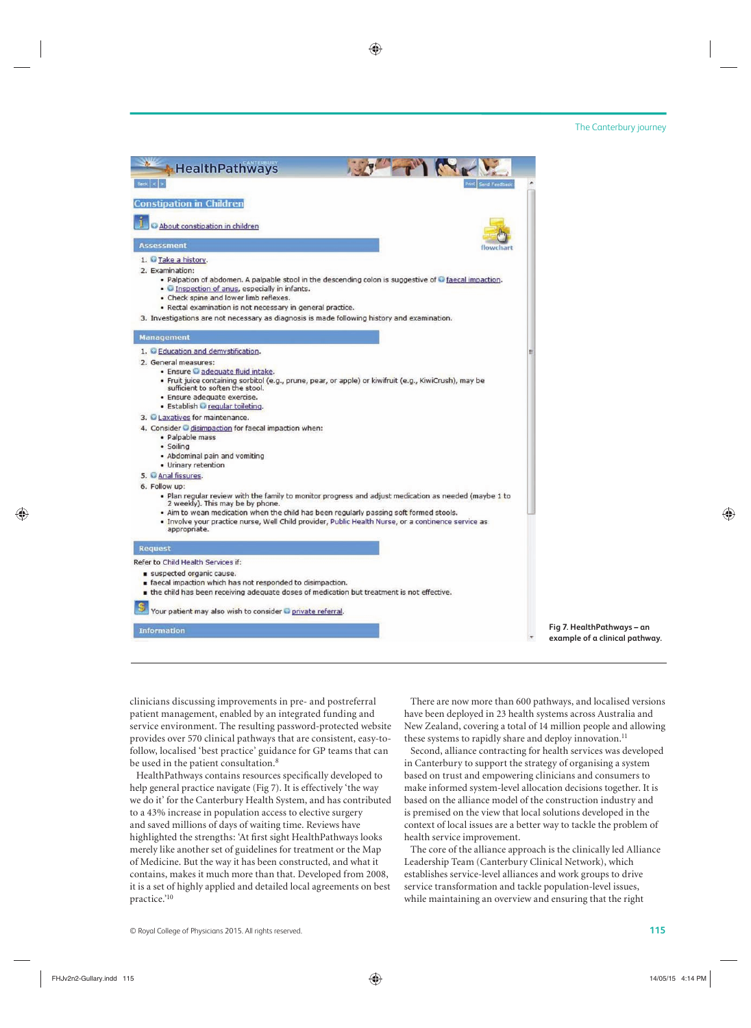| <b>HealthPathways</b>                                                                                                                                                                                                                                                                                                                                                                                 |
|-------------------------------------------------------------------------------------------------------------------------------------------------------------------------------------------------------------------------------------------------------------------------------------------------------------------------------------------------------------------------------------------------------|
| Send Feedback<br>$B$ eck $ <$                                                                                                                                                                                                                                                                                                                                                                         |
| <b>Constipation in Children</b>                                                                                                                                                                                                                                                                                                                                                                       |
| About constipation in children                                                                                                                                                                                                                                                                                                                                                                        |
| <b>Assessment</b><br>flowchart                                                                                                                                                                                                                                                                                                                                                                        |
| 1. Take a history.<br>2. Examination:<br>. Palpation of abdomen. A palpable stool in the descending colon is suggestive of a faecal impaction.<br>. Inspection of anus, especially in infants.<br>. Check spine and lower limb reflexes.<br>· Rectal examination is not necessary in general practice.<br>3. Investigations are not necessary as diagnosis is made following history and examination. |
| <b>Management</b>                                                                                                                                                                                                                                                                                                                                                                                     |
| 1. Education and demystification.                                                                                                                                                                                                                                                                                                                                                                     |
| 2. General measures:<br>· Ensure adequate fluid intake.<br>· Fruit juice containing sorbitol (e.g., prune, pear, or apple) or kiwifruit (e.g., KiwiCrush), may be<br>sufficient to soften the stool.<br>· Ensure adequate exercise.<br>· Establish regular toileting.                                                                                                                                 |
| 3. Laxatives for maintenance.                                                                                                                                                                                                                                                                                                                                                                         |
| 4. Consider disimpaction for faecal impaction when:<br>· Palpable mass<br>· Soiling<br>• Abdominal pain and vomiting<br>· Urinary retention                                                                                                                                                                                                                                                           |
| 5. Anal fissures.<br>6. Follow up:                                                                                                                                                                                                                                                                                                                                                                    |
| . Plan regular review with the family to monitor progress and adjust medication as needed (maybe 1 to<br>2 weekly). This may be by phone.<br>. Aim to wean medication when the child has been regularly passing soft formed stools.<br>. Involve your practice nurse, Well Child provider, Public Health Nurse, or a continence service as<br>appropriate.                                            |
| <b>Request</b>                                                                                                                                                                                                                                                                                                                                                                                        |
| Refer to Child Health Services if:                                                                                                                                                                                                                                                                                                                                                                    |
| suspected organic cause.<br>faecal impaction which has not responded to disimpaction.<br>. the child has been receiving adequate doses of medication but treatment is not effective.                                                                                                                                                                                                                  |
| Your patient may also wish to consider private referral.<br>ormation                                                                                                                                                                                                                                                                                                                                  |

**Fig 7. HealthPathways – an example of a clinical pathway.**

clinicians discussing improvements in pre- and postreferral patient management, enabled by an integrated funding and service environment. The resulting password-protected website provides over 570 clinical pathways that are consistent, easy-tofollow, localised 'best practice' guidance for GP teams that can be used in the patient consultation.<sup>8</sup>

HealthPathways contains resources specifically developed to help general practice navigate (Fig 7). It is effectively 'the way we do it' for the Canterbury Health System, and has contributed to a 43% increase in population access to elective surgery and saved millions of days of waiting time. Reviews have highlighted the strengths: 'At first sight HealthPathways looks merely like another set of guidelines for treatment or the Map of Medicine. But the way it has been constructed, and what it contains, makes it much more than that. Developed from 2008, it is a set of highly applied and detailed local agreements on best practice.'10

There are now more than 600 pathways, and localised versions have been deployed in 23 health systems across Australia and New Zealand, covering a total of 14 million people and allowing these systems to rapidly share and deploy innovation.<sup>11</sup>

Second, alliance contracting for health services was developed in Canterbury to support the strategy of organising a system based on trust and empowering clinicians and consumers to make informed system-level allocation decisions together. It is based on the alliance model of the construction industry and is premised on the view that local solutions developed in the context of local issues are a better way to tackle the problem of health service improvement.

The core of the alliance approach is the clinically led Alliance Leadership Team (Canterbury Clinical Network), which establishes service-level alliances and work groups to drive service transformation and tackle population-level issues, while maintaining an overview and ensuring that the right